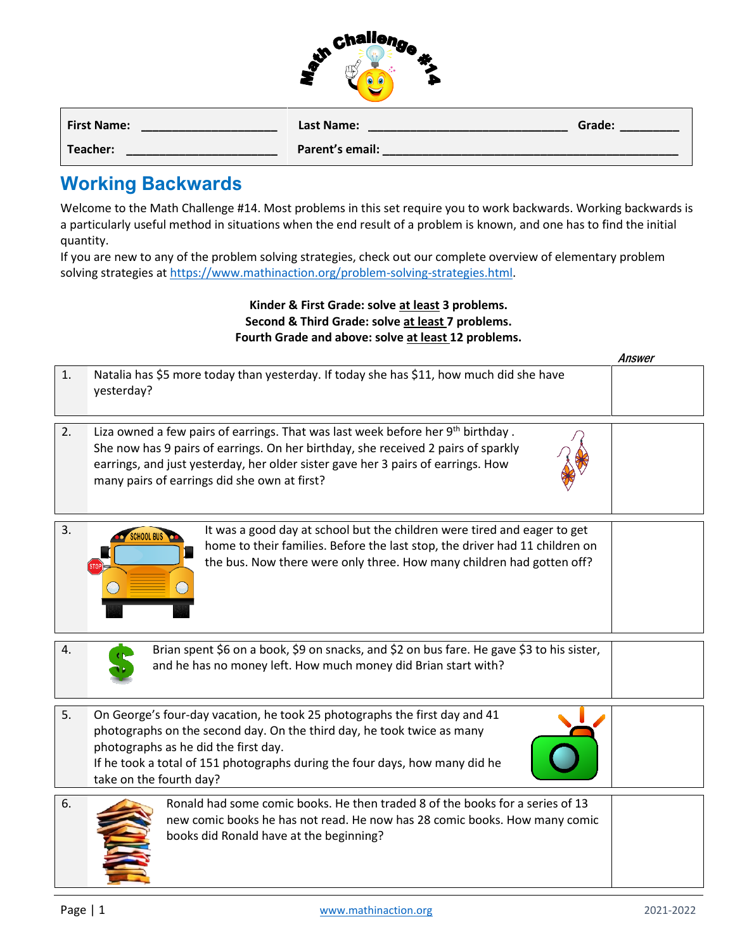| challeng |   |
|----------|---|
|          | е |
|          |   |
|          |   |

| <b>First Name:</b> | Last Name:      | Grade: |
|--------------------|-----------------|--------|
| Teacher:           | Parent's email: |        |

## **Working Backwards**

Welcome to the Math Challenge #14. Most problems in this set require you to work backwards. Working backwards is a particularly useful method in situations when the end result of a problem is known, and one has to find the initial quantity.

If you are new to any of the problem solving strategies, check out our complete overview of elementary problem solving strategies a[t https://www.mathinaction.org/problem-solving-strategies.html.](https://www.mathinaction.org/problem-solving-strategies.html)

## **Kinder & First Grade: solve at least 3 problems. Second & Third Grade: solve at least 7 problems. Fourth Grade and above: solve at least 12 problems.**

|    |                                                                                                                                                                                                                                                                                                                      | Answer |
|----|----------------------------------------------------------------------------------------------------------------------------------------------------------------------------------------------------------------------------------------------------------------------------------------------------------------------|--------|
| 1. | Natalia has \$5 more today than yesterday. If today she has \$11, how much did she have<br>yesterday?                                                                                                                                                                                                                |        |
| 2. | Liza owned a few pairs of earrings. That was last week before her 9 <sup>th</sup> birthday.<br>She now has 9 pairs of earrings. On her birthday, she received 2 pairs of sparkly<br>earrings, and just yesterday, her older sister gave her 3 pairs of earrings. How<br>many pairs of earrings did she own at first? |        |
| 3. | It was a good day at school but the children were tired and eager to get<br>home to their families. Before the last stop, the driver had 11 children on<br>the bus. Now there were only three. How many children had gotten off?                                                                                     |        |
| 4. | Brian spent \$6 on a book, \$9 on snacks, and \$2 on bus fare. He gave \$3 to his sister,<br>and he has no money left. How much money did Brian start with?                                                                                                                                                          |        |
| 5. | On George's four-day vacation, he took 25 photographs the first day and 41<br>photographs on the second day. On the third day, he took twice as many<br>photographs as he did the first day.<br>If he took a total of 151 photographs during the four days, how many did he<br>take on the fourth day?               |        |
| 6. | Ronald had some comic books. He then traded 8 of the books for a series of 13<br>new comic books he has not read. He now has 28 comic books. How many comic<br>books did Ronald have at the beginning?                                                                                                               |        |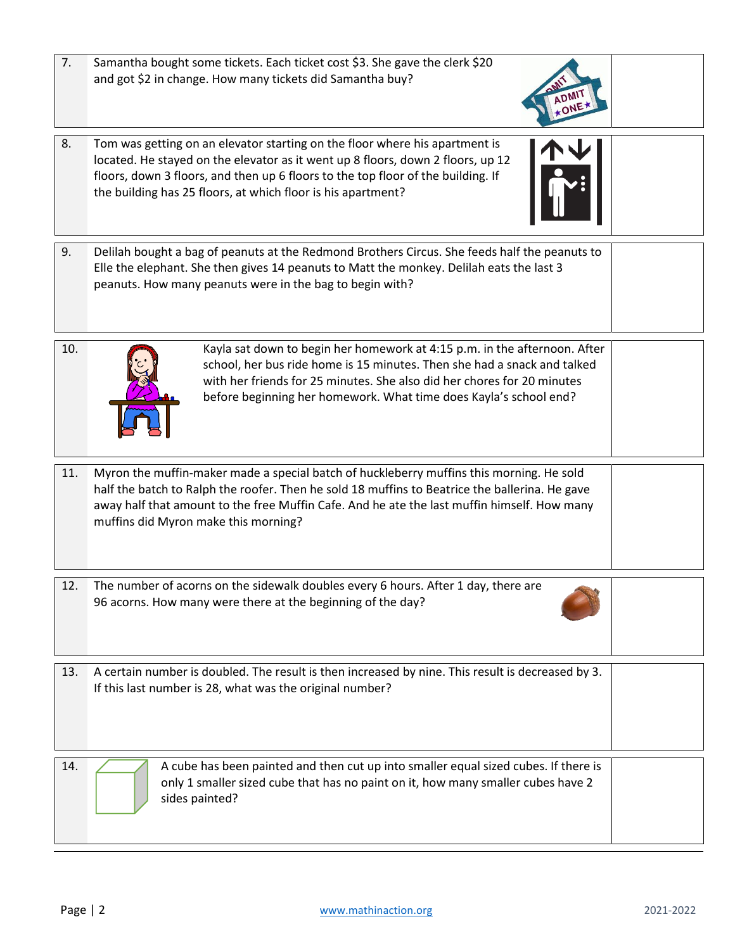| 14. | A cube has been painted and then cut up into smaller equal sized cubes. If there is<br>only 1 smaller sized cube that has no paint on it, how many smaller cubes have 2<br>sides painted? |  |
|-----|-------------------------------------------------------------------------------------------------------------------------------------------------------------------------------------------|--|

13. A certain number is doubled. The result is then increased by nine. This result is decreased by 3.

12. The number of acorns on the sidewalk doubles every 6 hours. After 1 day, there are

96 acorns. How many were there at the beginning of the day?

If this last number is 28, what was the original number?

11. Myron the muffin-maker made a special batch of huckleberry muffins this morning. He sold half the batch to Ralph the roofer. Then he sold 18 muffins to Beatrice the ballerina. He gave away half that amount to the free Muffin Cafe. And he ate the last muffin himself. How many muffins did Myron make this morning?

Elle the elephant. She then gives 14 peanuts to Matt the monkey. Delilah eats the last 3

10. Kayla sat down to begin her homework at 4:15 p.m. in the afternoon. After school, her bus ride home is 15 minutes. Then she had a snack and talked with her friends for 25 minutes. She also did her chores for 20 minutes before beginning her homework. What time does Kayla's school end?

- 8. Tom was getting on an elevator starting on the floor where his apartment is located. He stayed on the elevator as it went up 8 floors, down 2 floors, up 12 floors, down 3 floors, and then up 6 floors to the top floor of the building. If the building has 25 floors, at which floor is his apartment?
- 7. Samantha bought some tickets. Each ticket cost \$3. She gave the clerk \$20 and got \$2 in change. How many tickets did Samantha buy?







peanuts. How many peanuts were in the bag to begin with?